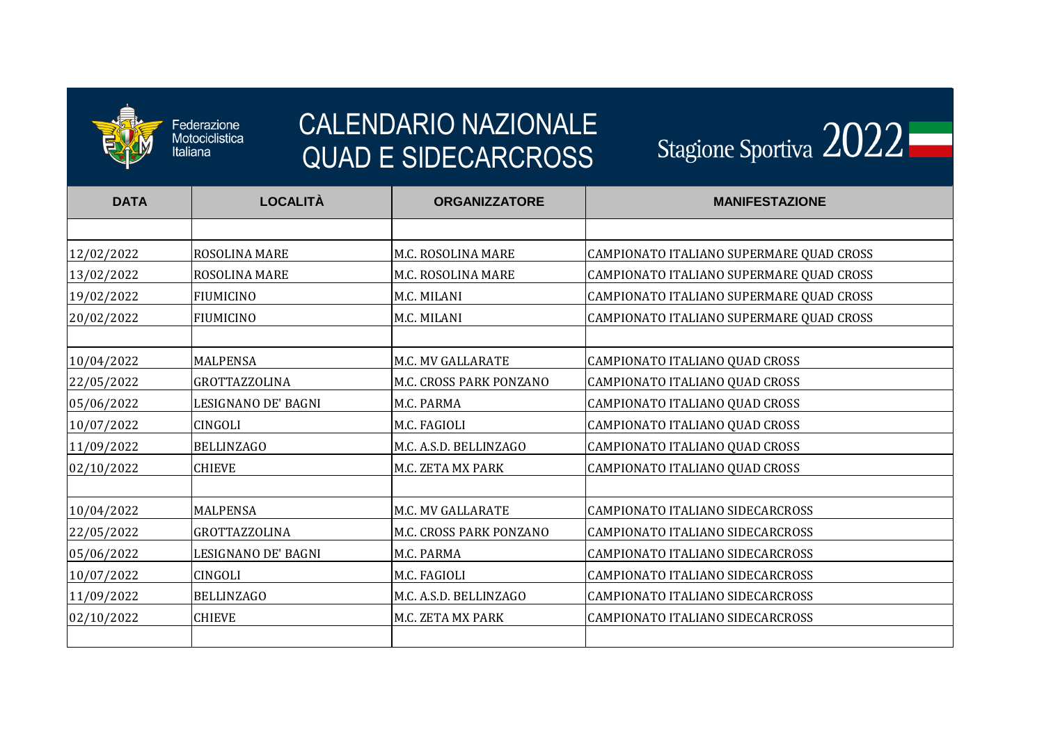

Federazione<br>Motociclistica<br>Italiana

| <b>DATA</b> | <b>LOCALITÀ</b>      | <b>ORGANIZZATORE</b>     | <b>MANIFESTAZIONE</b>                    |
|-------------|----------------------|--------------------------|------------------------------------------|
|             |                      |                          |                                          |
| 12/02/2022  | ROSOLINA MARE        | M.C. ROSOLINA MARE       | CAMPIONATO ITALIANO SUPERMARE QUAD CROSS |
| 13/02/2022  | ROSOLINA MARE        | M.C. ROSOLINA MARE       | CAMPIONATO ITALIANO SUPERMARE QUAD CROSS |
| 19/02/2022  | <b>FIUMICINO</b>     | M.C. MILANI              | CAMPIONATO ITALIANO SUPERMARE QUAD CROSS |
| 20/02/2022  | <b>FIUMICINO</b>     | M.C. MILANI              | CAMPIONATO ITALIANO SUPERMARE QUAD CROSS |
| 10/04/2022  | <b>MALPENSA</b>      | <b>M.C. MV GALLARATE</b> | CAMPIONATO ITALIANO QUAD CROSS           |
| 22/05/2022  | <b>GROTTAZZOLINA</b> | M.C. CROSS PARK PONZANO  | CAMPIONATO ITALIANO QUAD CROSS           |
| 05/06/2022  | LESIGNANO DE' BAGNI  | M.C. PARMA               | CAMPIONATO ITALIANO QUAD CROSS           |
| 10/07/2022  | CINGOLI              | M.C. FAGIOLI             | CAMPIONATO ITALIANO QUAD CROSS           |
| 11/09/2022  | <b>BELLINZAGO</b>    | M.C. A.S.D. BELLINZAGO   | CAMPIONATO ITALIANO QUAD CROSS           |
| 02/10/2022  | <b>CHIEVE</b>        | <b>M.C. ZETA MX PARK</b> | CAMPIONATO ITALIANO QUAD CROSS           |
|             |                      |                          |                                          |
| 10/04/2022  | <b>MALPENSA</b>      | <b>M.C. MV GALLARATE</b> | CAMPIONATO ITALIANO SIDECARCROSS         |
| 22/05/2022  | <b>GROTTAZZOLINA</b> | M.C. CROSS PARK PONZANO  | CAMPIONATO ITALIANO SIDECARCROSS         |
| 05/06/2022  | LESIGNANO DE' BAGNI  | M.C. PARMA               | CAMPIONATO ITALIANO SIDECARCROSS         |
| 10/07/2022  | <b>CINGOLI</b>       | M.C. FAGIOLI             | CAMPIONATO ITALIANO SIDECARCROSS         |
| 11/09/2022  | <b>BELLINZAGO</b>    | M.C. A.S.D. BELLINZAGO   | CAMPIONATO ITALIANO SIDECARCROSS         |
| 02/10/2022  | <b>CHIEVE</b>        | M.C. ZETA MX PARK        | CAMPIONATO ITALIANO SIDECARCROSS         |
|             |                      |                          |                                          |

| 2022           |
|----------------|
|                |
|                |
| D CROSS        |
| D CROSS        |
| <b>D CROSS</b> |
| D CROSS        |
|                |
|                |
|                |
|                |
|                |
|                |
|                |
|                |
|                |
|                |
|                |
|                |
|                |
|                |
|                |

## CALENDARIO NAZIONALE QUAD E SIDECARCROSS

Stagione Sportiva